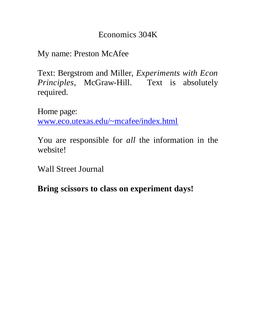## Economics 304K

My name: Preston McAfee

Text: Bergstrom and Miller, *Experiments with Econ Principles*, McGraw-Hill. Text is absolutely required.

Home page:

www.eco.utexas.edu/~mcafee/index.html

You are responsible for *all* the information in the website!

Wall Street Journal

**Bring scissors to class on experiment days!**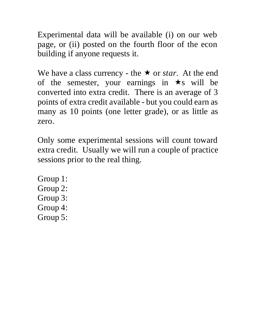Experimental data will be available (i) on our web page, or (ii) posted on the fourth floor of the econ building if anyone requests it.

We have a class currency - the  $\star$  or *star*. At the end of the semester, your earnings in  $\star$ s will be converted into extra credit. There is an average of 3 points of extra credit available - but you could earn as many as 10 points (one letter grade), or as little as zero.

Only some experimental sessions will count toward extra credit. Usually we will run a couple of practice sessions prior to the real thing.

Group 1: Group 2: Group 3: Group 4: Group 5: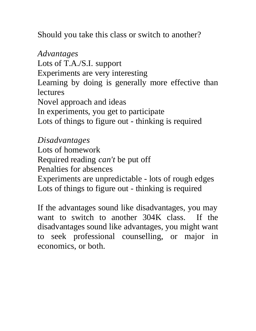Should you take this class or switch to another?

*Advantages* Lots of T.A./S.I. support Experiments are very interesting Learning by doing is generally more effective than **lectures** Novel approach and ideas In experiments, you get to participate Lots of things to figure out - thinking is required

*Disadvantages*

Lots of homework

Required reading *can't* be put off

Penalties for absences

Experiments are unpredictable - lots of rough edges Lots of things to figure out - thinking is required

If the advantages sound like disadvantages, you may want to switch to another 304K class. If the disadvantages sound like advantages, you might want to seek professional counselling, or major in economics, or both.